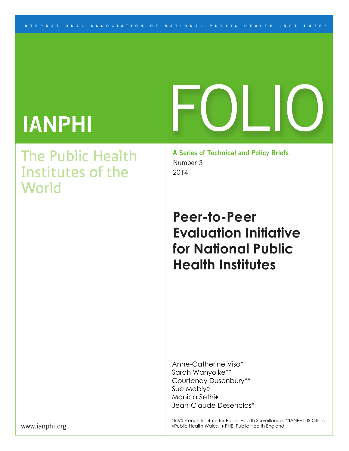#### **I N TER N A T I O N AL A SSOCI A T I O N O F N A T I O N A L P U B L I C H E A L T H I N S T I TUTES**

# FOLIO

# **IANPHI**

## The Public Health Institutes of the World

**A Series of Technical and Policy Briefs**  Number 3 2014

## **Peer-to-Peer Evaluation Initiative for National Public Health Institutes**

Anne-Catherine Viso\* Sarah Wanyoike\*\* Courtenay Dusenbury\*\* Sue Mably◊ Monica Sethi♦ Jean-Claude Desenclos\*

\*InVS French Institute for Public Health Surveillance, \*\*IANPHI-US Office, ◊Public Health Wales, ♦ PHE, Public Health England

www.ianphi.org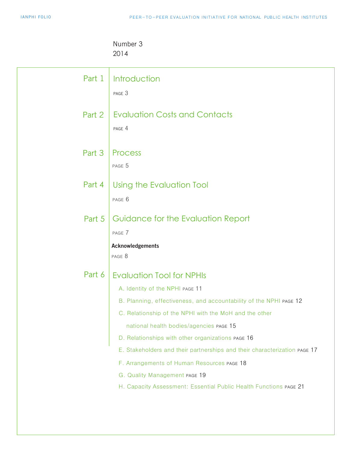#### Number 3 2014

| Part 1 | Introduction<br>PAGE 3                                                                                                                                                                                                                                                                                                                                                                                                                                                                                                               |
|--------|--------------------------------------------------------------------------------------------------------------------------------------------------------------------------------------------------------------------------------------------------------------------------------------------------------------------------------------------------------------------------------------------------------------------------------------------------------------------------------------------------------------------------------------|
| Part 2 | <b>Evaluation Costs and Contacts</b><br>PAGE 4                                                                                                                                                                                                                                                                                                                                                                                                                                                                                       |
| Part 3 | Process<br>PAGE 5                                                                                                                                                                                                                                                                                                                                                                                                                                                                                                                    |
| Part 4 | Using the Evaluation Tool<br>PAGE 6                                                                                                                                                                                                                                                                                                                                                                                                                                                                                                  |
| Part 5 | Guidance for the Evaluation Report<br>PAGE 7<br><b>Acknowledgements</b><br>PAGE 8                                                                                                                                                                                                                                                                                                                                                                                                                                                    |
| Part 6 | <b>Evaluation Tool for NPHIs</b><br>A. Identity of the NPHI PAGE 11<br>B. Planning, effectiveness, and accountability of the NPHI PAGE 12<br>C. Relationship of the NPHI with the MoH and the other<br>national health bodies/agencies PAGE 15<br>D. Relationships with other organizations PAGE 16<br>E. Stakeholders and their partnerships and their characterization PAGE 17<br>F. Arrangements of Human Resources PAGE 18<br>G. Quality Management PAGE 19<br>H. Capacity Assessment: Essential Public Health Functions PAGE 21 |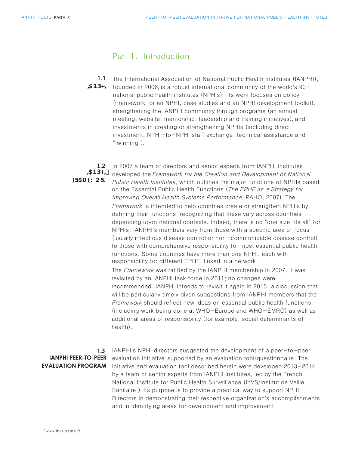#### Part 1. Introduction

The International Association of National Public Health Institutes (IANPHI),  $58D \leftarrow 90+$  founded in 2006, is a robust international community of the world's 90+ national public health institutes (NPHIs). Its work focuses on policy (Framework for an NPHI, case studies and an NPHI development toolkit), strengthening the IANPHI community through programs (an annual meeting, website, mentorship, leadership and training initiatives), and investments in creating or strengthening NPHIs (including direct investment, NPHI-to-NPHI staff exchange, technical assistance and "twinning"). **1.1** 

#### **,\$13+, : F5A 9K CF?**

**1.2** In 2007 a team of directors and senior experts from IANPHI institutes developed the Framework for the Creation and Development of National Public Health Institutes, which outlines the major functions of NPHIs based on the Essential Public Health Functions (The EPHF as a Strategy for Improving Overall Health Systems Performance, PAHO, 2007). The Framework is intended to help countries create or strengthen NPHIs by defining their functions, recognizing that these vary across countries depending upon national contexts. Indeed, there is no "one size fits all" for NPHIs: IANPHI's members vary from those with a specific area of focus (usually infectious disease control or non-communicable disease control) to those with comprehensive responsibility for most essential public health functions. Some countries have more than one NPHI, each with responsibility for different EPHF, linked in a network. The Framework was ratified by the IANPHI membership in 2007. It was revisited by an IANPHI task force in 2011; no changes were recommended. IANPHI intends to revisit it again in 2015, a discussion that will be particularly timely given suggestions from IANPHI members that the

Framework should reflect new ideas on essential public health functions (including work being done at WHO-Europe and WHO-EMRO) as well as additional areas of responsibility (for example, social determinants of health).

#### **1.3 IANPHI PEER-TO-PEER EVALUATION PROGRAM**

IANPHI's NPHI directors suggested the development of a peer-to-peer evaluation initiative, supported by an evaluation tool/questionnaire. The initiative and evaluation tool described herein were developed 2013-2014 by a team of senior experts from IANPHI institutes, led by the French National Institute for Public Health Surveillance (InVS/Institut de Veille Sanitaire<sup>1</sup>). Its purpose is to provide a practical way to support NPHI Directors in demonstrating their respective organization's accomplishments and in identifying areas for development and improvement.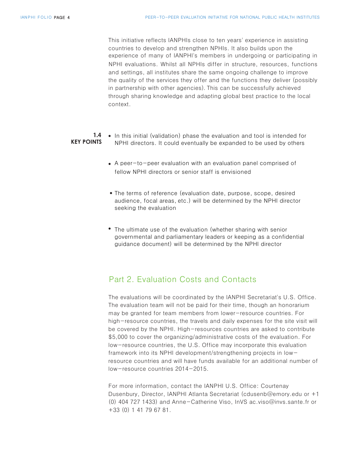This initiative reflects IANPHIs close to ten years' experience in assisting countries to develop and strengthen NPHIs. It also builds upon the experience of many of IANPHI's members in undergoing or participating in NPHI evaluations. Whilst all NPHIs differ in structure, resources, functions and settings, all institutes share the same ongoing challenge to improve the quality of the services they offer and the functions they deliver (possibly in partnership with other agencies). This can be successfully achieved through sharing knowledge and adapting global best practice to the local context.

#### • In this initial (validation) phase the evaluation and tool is intended for **1.4 KEY POINTS** NPHI directors. It could eventually be expanded to be used by others

- A peer-to-peer evaluation with an evaluation panel comprised of fellow NPHI directors or senior staff is envisioned
- The terms of reference (evaluation date, purpose, scope, desired audience, focal areas, etc.) will be determined by the NPHI director seeking the evaluation
- The ultimate use of the evaluation (whether sharing with senior governmental and parliamentary leaders or keeping as a confidential guidance document) will be determined by the NPHI director

#### Part 2. Evaluation Costs and Contacts

The evaluations will be coordinated by the IANPHI Secretariat's U.S. Office. The evaluation team will not be paid for their time, though an honorarium may be granted for team members from lower-resource countries. For high-resource countries, the travels and daily expenses for the site visit will be covered by the NPHI. High-resources countries are asked to contribute \$5,000 to cover the organizing/administrative costs of the evaluation. For low-resource countries, the U.S. Office may incorporate this evaluation framework into its NPHI development/strengthening projects in lowresource countries and will have funds available for an additional number of low-resource countries 2014-2015.

For more information, contact the IANPHI U.S. Office: Courtenay Dusenbury, Director, IANPHI Atlanta Secretariat (cdusenb@emory.edu or +1 (0) 404 727 1433) and Anne-Catherine Viso, InVS ac.viso@invs.sante.fr or +33 (0) 1 41 79 67 81.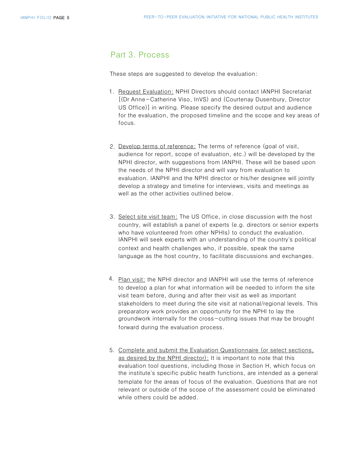#### Part 3. Process

These steps are suggested to develop the evaluation:

- 1. Request Evaluation: NPHI Directors should contact IANPHI Secretariat [(Dr Anne-Catherine Viso, InVS) and (Courtenay Dusenbury, Director US Office)] in writing. Please specify the desired output and audience for the evaluation, the proposed timeline and the scope and key areas of focus.
- 2. Develop terms of reference: The terms of reference (goal of visit, audience for report, scope of evaluation, etc.) will be developed by the NPHI director, with suggestions from IANPHI. These will be based upon the needs of the NPHI director and will vary from evaluation to evaluation. IANPHI and the NPHI director or his/her designee will jointly develop a strategy and timeline for interviews, visits and meetings as well as the other activities outlined below.
- 3. Select site visit team: The US Office, in close discussion with the host country, will establish a panel of experts (e.g. directors or senior experts who have volunteered from other NPHIs) to conduct the evaluation. IANPHI will seek experts with an understanding of the country's political context and health challenges who, if possible, speak the same language as the host country, to facilitate discussions and exchanges.
- 4. Plan visit: the NPHI director and IANPHI will use the terms of reference to develop a plan for what information will be needed to inform the site visit team before, during and after their visit as well as important stakeholders to meet during the site visit at national/regional levels. This preparatory work provides an opportunity for the NPHI to lay the groundwork internally for the cross-cutting issues that may be brought forward during the evaluation process.
- 5. Complete and submit the Evaluation Questionnaire (or select sections, as desired by the NPHI director): It is important to note that this evaluation tool questions, including those in Section H, which focus on the institute's specific public health functions, are intended as a general template for the areas of focus of the evaluation. Questions that are not relevant or outside of the scope of the assessment could be eliminated while others could be added.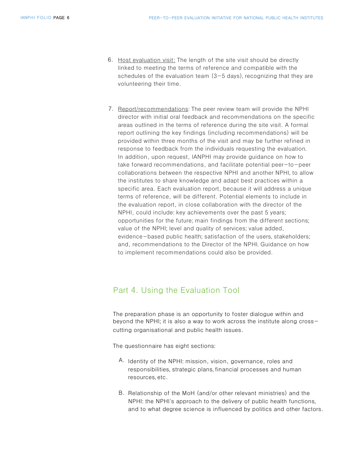- 6. Host evaluation visit: The length of the site visit should be directly linked to meeting the terms of reference and compatible with the schedules of the evaluation team  $(3-5$  days), recognizing that they are volunteering their time.
- 7. Report/recommendations: The peer review team will provide the NPHI director with initial oral feedback and recommendations on the specific areas outlined in the terms of reference during the site visit. A formal report outlining the key findings (including recommendations) will be provided within three months of the visit and may be further refined in response to feedback from the individuals requesting the evaluation. In addition, upon request, IANPHI may provide guidance on how to take forward recommendations, and facilitate potential peer-to-peer collaborations between the respective NPHI and another NPHI, to allow the institutes to share knowledge and adapt best practices within a specific area. Each evaluation report, because it will address a unique terms of reference, will be different. Potential elements to include in the evaluation report, in close collaboration with the director of the NPHI, could include: key achievements over the past 5 years; opportunities for the future; main findings from the different sections; value of the NPHI; level and quality of services; value added, evidence-based public health; satisfaction of the users, stakeholders; and, recommendations to the Director of the NPHI. Guidance on how to implement recommendations could also be provided.

#### Part 4. Using the Evaluation Tool

The preparation phase is an opportunity to foster dialogue within and beyond the NPHI; it is also a way to work across the institute along crosscutting organisational and public health issues.

The questionnaire has eight sections:

- A. Identity of the NPHI: mission, vision, governance, roles and responsibilities, strategic plans, financial processes and human resources,etc.
- B. Relationship of the MoH (and/or other relevant ministries) and the NPHI: the NPHI's approach to the delivery of public health functions, and to what degree science is influenced by politics and other factors.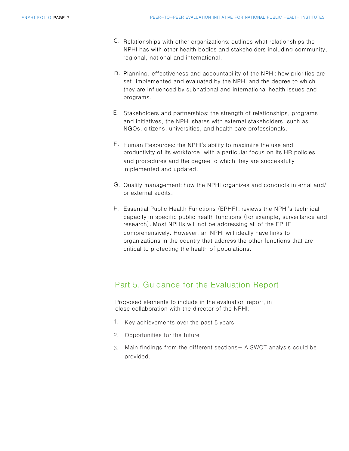- C. Relationships with other organizations: outlines what relationships the NPHI has with other health bodies and stakeholders including community, regional, national and international.
- D. Planning, effectiveness and accountability of the NPHI: how priorities are set, implemented and evaluated by the NPHI and the degree to which they are influenced by subnational and international health issues and programs.
- E. Stakeholders and partnerships: the strength of relationships, programs and initiatives, the NPHI shares with external stakeholders, such as NGOs, citizens, universities, and health care professionals.
- F. Human Resources: the NPHI's ability to maximize the use and productivity of its workforce, with a particular focus on its HR policies and procedures and the degree to which they are successfully implemented and updated.
- G. Quality management: how the NPHI organizes and conducts internal and/ or external audits.
- Essential Public Health Functions (EPHF): reviews the NPHI's technical H. capacity in specific public health functions (for example, surveillance and research). Most NPHIs will not be addressing all of the EPHF comprehensively. However, an NPHI will ideally have links to organizations in the country that address the other functions that are critical to protecting the health of populations.

#### Part 5. Guidance for the Evaluation Report

Proposed elements to include in the evaluation report, in close collaboration with the director of the NPHI:

- 1. Key achievements over the past 5 years
- 2. Opportunities for the future
- 3. Main findings from the different sections A SWOT analysis could be provided.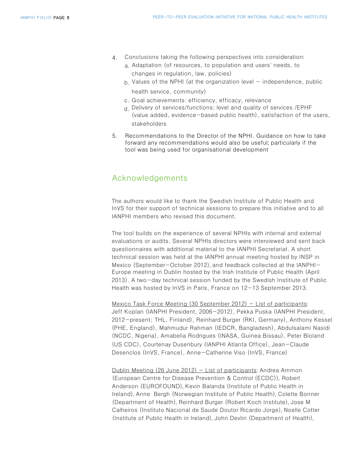- Conclusions taking the following perspectives into consideration: 4.
	- a. Adaptation (of resources, to population and users' needs, to changes in regulation, law, policies)
	- $b$ . Values of the NPHI (at the organization level  $-$  independence, public health service, community)
	- c. Goal achievements: efficiency, efficacy, relevance
	- d. Delivery of services/functions: level and quality of services /EPHF (value added, evidence-based public health), satisfaction of the users, stakeholders
- 5. Recommendations to the Director of the NPHI. Guidance on how to take forward any recommendations would also be useful; particularly if the tool was being used for organisational development

#### Acknowledgements

The authors would like to thank the Swedish Institute of Public Health and InVS for their support of technical sessions to prepare this initiative and to all IANPHI members who revised this document.

The tool builds on the experience of several NPHIs with internal and external evaluations or audits. Several NPHIs directors were interviewed and sent back questionnaires with additional material to the IANPHI Secretariat. A short technical session was held at the IANPHI annual meeting hosted by INSP in Mexico (September-October 2012), and feedback collected at the IANPHI-Europe meeting in Dublin hosted by the Irish Institute of Public Health (April 2013). A two-day technical session funded by the Swedish Institiute of Public Health was hosted by InVS in Paris, France on 12-13 September 2013.

Mexico Task Force Meeting (30 September 2012)  $-$  List of participants: Jeff Koplan (IANPHI President, 2006-2012), Pekka Puska (IANPHI President, 2012-present; THL, Finland), Reinhard Burger (RKI, Germany), Anthony Kessel (PHE, England), Mahmudur Rahman (IEDCR, Bangladesh), Abdulsalami Nasidi (NCDC, Nigeria), Amabelia Rodrigues (INASA, Guinea Bissau), Peter Bloland (US CDC), Courtenay Dusenbury (IANPHI Atlanta Office), Jean-Claude Desenclos (InVS, France), Anne-Catherine Viso (InVS, France)

Dublin Meeting  $(26 \text{ June } 2012) -$  List of participants: Andrea Ammon (European Centre for Disease Prevention & Control (ECDC)), Robert Anderson (EUROFOUND), Kevin Balanda (Institute of Public Health in Ireland), Anne Bergh (Norwegian Institute of Public Health), Colette Bonner (Department of Health), Reinhard Burger (Robert Koch Institute), Jose M Calheiros (Instituto Nacional de Saude Doutor Ricardo Jorge), Noelle Cotter (Institute of Public Health in Ireland), John Devlin (Department of Health),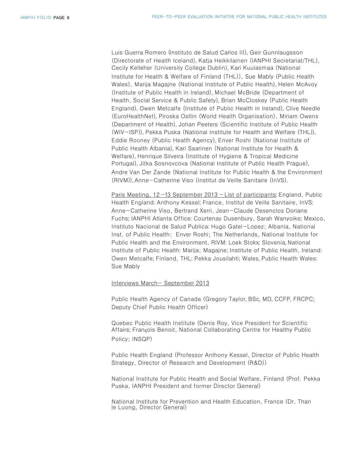Luis Guerra Romero (Instituto de Salud Carlos III), Geir Gunnlaugsson (Directorate of Health Iceland), Katja Heikkilainen (IANPHI Secretariat/THL), Cecily Kelleher (University College Dublin), Kari Kuulasmaa (National Institute for Health & Welfare of Finland (THL)), Sue Mably (Public Health Wales), Marija Magajne (National Institute of Public Health), Helen McAvoy (Institute of Public Health in Ireland), Michael McBride (Department of Health, Social Service & Public Safety), Brian McCloskey (Public Health England), Owen Metcalfe (Institute of Public Health in Ireland), Clive Needle (EuroHealthNet), Piroska Ostlin (World Health Organisation), Miriam Owens (Department of Health), Johan Peeters (Scientific Institute of Public Health (WIV-ISP)), Pekka Puska (National Institute for Health and Welfare (THL)), Eddie Rooney (Public Health Agency), Enver Roshi (National Institute of Public Health Albania), Kari Saarinen (National Institute for Health & Welfare), Henrique Silveira (Institute of Hygiene & Tropical Medicine Portugal), Jitka Sosnovcova (National Institute of Public Health Prague), Andre Van Der Zande (National Institute for Public Health & the Environment (RIVM)),Anne-Catherine Viso (Institut de Veille Sanitaire (InVS).

Paris Meeting, 12 -13 September 2013 - List of participants: England, Public Health England: Anthony Kessel; France, Institut de Veille Sanitaire, InVS: Anne-Catherine Viso, Bertrand Xerri, Jean-Claude Desenclos Doriane Fuchs; IANPHI Atlanta Office: Courtenay Dusenbury, Sarah Wanyoike; Mexico, Instituto Nacional de Salud Publica: Hugo Gatel-Lopez; Albania, National Inst. of Public Health: Enver Roshi; The Netherlands, National Institute for Public Health and the Environment, RIVM: Loek Stokx; Slovenia, National Institute of Public Health: Marija; Magajne; Institute of Public Health, Ireland: Owen Metcalfe; Finland, THL: Pekka Jousilahti; Wales, Public Health Wales: Sue Mably

#### Interviews March- September 2013

Public Health Agency of Canada (Gregory Taylor, BSc, MD, CCFP, FRCPC; Deputy Chief Public Health Officer)

Quebec Public Health Institute (Denis Roy, Vice President for Scientific Affairs; François Benoit, National Collaborating Centre for Healthy Public Policy; INSQP)

Public Health England (Professor Anthony Kessel, Director of Public Health Strategy, Director of Research and Development (R&D))

National Institute for Public Health and Social Welfare, Finland (Prof. Pekka Puska, IANPHI President and former Director General)

National Institute for Prevention and Health Education, France (Dr. Than le Luong, Director General)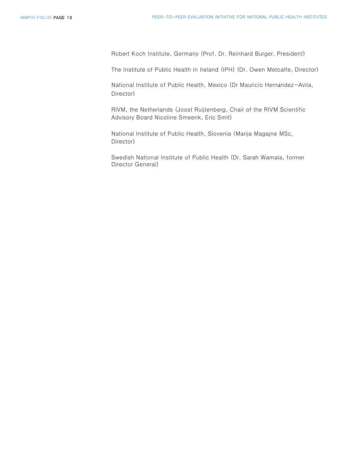Robert Koch Institute, Germany (Prof. Dr. Reinhard Burger, President)

The Institute of Public Health in Ireland (IPH) (Dr. Owen Metcalfe, Director)

National Institute of Public Health, Mexico (Dr Mauricio Hernández-Avila, Director)

RIVM, the Netherlands (Joost Ruijtenberg, Chair of the RIVM Scientific Advisory Board Nicoline Smeenk, Eric Smit)

National Institute of Public Health, Slovenia (Marija Magajne MSc, Director)

Swedish National Institute of Public Health (Dr. Sarah Wamala, former Director General)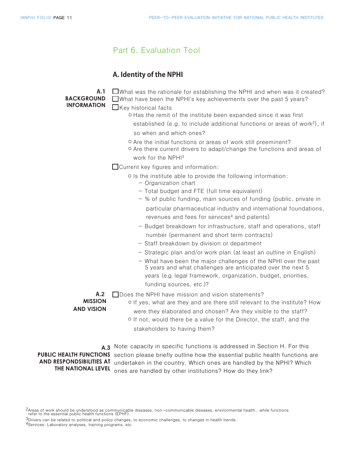#### Part 6. Evaluation Tool

#### **A. Identity of the NPHI**

**A.1 BACKGROUND INFORMATION**

- $\Box$  What was the rationale for establishing the NPHI and when was it created? What have been the NPHI's key achievements over the past 5 years?
- $\Box$ Key historical facts
	- o Has the remit of the institute been expanded since it was first established (e.g. to include additional functions or areas of work<sup>2</sup>), if
		- so when and which ones?
	- o Are the initial functions or areas of work still preeminent?
	- o Are there current drivers to adapt/change the functions and areas of work for the NPHI<sup>3</sup>

 $\Box$  Current key figures and information:

- o Is the institute able to provide the following information:
	- Organization chart
	- Total budget and FTE (full time equivalent)
	- % of public funding, main sources of funding (public, private in particular pharmaceutical industry and international foundations, revenues and fees for services<sup>4</sup> and patents)
	- Budget breakdown for infrastructure, staff and operations, staff number (permanent and short term contracts)
	- Staff breakdown by division or department
	- Strategic plan and/or work plan (at least an outline in English)
	- What have been the major challenges of the NPHI over the past 5 years and what challenges are anticipated over the next 5 years (e.g. legal framework, organization, budget, priorities, funding sources, etc.)?

 $\Box$  Does the NPHI have mission and vision statements? **A.2** 

**MISSION AND VISION**

- o If yes, what are they and are there still relevant to the institute? How were they elaborated and chosen? Are they visible to the staff?
	- <sup>o</sup> If not, would there be a value for the Director, the staff, and the stakeholders to having them?

A.3 Note: capacity in specific functions is addressed in Section H. For this PUBLIC HEALTH FUNCTIONS section please briefly outline how the essential public health functions are AND RESPONDSIBILITIES AT undertaken in the country. Which ones are handled by the NPHI? Which **THE NATIONAL LEVEL** ones are handled by other institutions? How do they link?

2Areas of work should be understood as communicable diseases, non-communicable diseases, environmental health...while functions refer to the essential public health functions (EPHF).

- $3$ Drivers can be related to political and policy changes, to economic challenges, to changes in health trends.
- 4Services: Laboratory analyses, training programs, etc.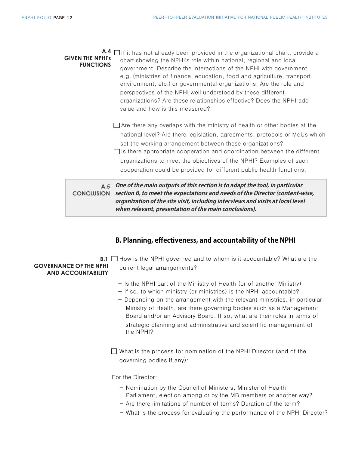**A.4** □If it has not already been provided in the organizational chart, provide a chart showing the NPHI's role within national, regional and local government. Describe the interactions of the NPHI with government e.g. (ministries of finance, education, food and agriculture, transport, environment, etc.) or governmental organizations. Are the role and perspectives of the NPHI well understood by these different organizations? Are these relationships effective? Does the NPHI add value and how is this measured? **GIVEN THE NPHI's FUNCTIONS** 

- $\Box$  Are there any overlaps with the ministry of health or other bodies at the national level? Are there legislation, agreements, protocols or MoUs which set the working arrangement between these organizations?
- $\Box$  Is there appropriate cooperation and coordination between the different organizations to meet the objectives of the NPHI? Examples of such cooperation could be provided for different public health functions.

**A.5 One of the main outputs of this section is to adapt the tool, in particular CONCLUSION section B, to meet the expectations and needs of the Director (content-wise, organization of the site visit, including interviews and visits at local level when relevant, presentation of the main conclusions).**

#### **B. Planning, effectiveness, and accountability of the NPHI**

 **GOVERNANCE OF THE NPHI AND ACCOUNTABILITY**

**B.1** □ How is the NPHI governed and to whom is it accountable? What are the current legal arrangements?

- Is the NPHI part of the Ministry of Health (or of another Ministry)
- If so, to which ministry (or ministries) is the NPHI accountable?
- Depending on the arrangement with the relevant ministries, in particular Ministry of Health, are there governing bodies such as a Management Board and/or an Advisory Board. If so, what are their roles in terms of strategic planning and administrative and scientific management of the NPHI?

 $\Box$  What is the process for nomination of the NPHI Director (and of the governing bodies if any):

For the Director:

- Nomination by the Council of Ministers, Minister of Health,
- Parliament, election among or by the MB members or another way?
- Are there limitations of number of terms? Duration of the term?
- What is the process for evaluating the performance of the NPHI Director?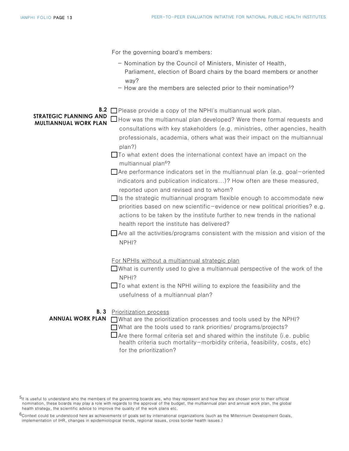|                                                                      | For the governing board's members:                                                                                                                                                                                                                                                                                                                                                                                                                                                                                                                                                                                                                                                                                                                                                                                                                                                                                                                                                                                                                |
|----------------------------------------------------------------------|---------------------------------------------------------------------------------------------------------------------------------------------------------------------------------------------------------------------------------------------------------------------------------------------------------------------------------------------------------------------------------------------------------------------------------------------------------------------------------------------------------------------------------------------------------------------------------------------------------------------------------------------------------------------------------------------------------------------------------------------------------------------------------------------------------------------------------------------------------------------------------------------------------------------------------------------------------------------------------------------------------------------------------------------------|
|                                                                      | - Nomination by the Council of Ministers, Minister of Health,<br>Parliament, election of Board chairs by the board members or another<br>way?<br>$-$ How are the members are selected prior to their nomination <sup>5</sup> ?                                                                                                                                                                                                                                                                                                                                                                                                                                                                                                                                                                                                                                                                                                                                                                                                                    |
| B.2<br><b>STRATEGIC PLANNING AND</b><br><b>MULTIANNUAL WORK PLAN</b> | $\Box$ Please provide a copy of the NPHI's multiannual work plan.<br>$\Box$ How was the multiannual plan developed? Were there formal requests and<br>consultations with key stakeholders (e.g. ministries, other agencies, health<br>professionals, academia, others what was their impact on the multiannual<br>plan?)<br>$\Box$ To what extent does the international context have an impact on the<br>multiannual plan <sup>6</sup> ?<br>$\Box$ Are performance indicators set in the multiannual plan (e.g. goal-oriented<br>indicators and publication indicators)? How often are these measured,<br>reported upon and revised and to whom?<br>$\Box$ is the strategic multiannual program flexible enough to accommodate new<br>priorities based on new scientific-evidence or new political priorities? e.g.<br>actions to be taken by the institute further to new trends in the national<br>health report the institute has delivered?<br>$\Box$ Are all the activities/programs consistent with the mission and vision of the<br>NPHI? |
| B. 3<br><b>ANNUAL WORK PLAN</b>                                      | For NPHIs without a multiannual strategic plan<br>$\Box$ What is currently used to give a multiannual perspective of the work of the<br>NPHI?<br>$\Box$ To what extent is the NPHI willing to explore the feasibility and the<br>usefulness of a multiannual plan?<br>Prioritization process<br>$\Box$ What are the prioritization processes and tools used by the NPHI?<br>$\Box$ What are the tools used to rank priorities/ programs/projects?<br>Are there formal criteria set and shared within the institute (i.e. public<br>health criteria such mortality-morbidity criteria, feasibility, costs, etc)<br>for the prioritization?                                                                                                                                                                                                                                                                                                                                                                                                         |

 $5$ It is useful to understand who the members of the governing boards are, who they represent and how they are chosen prior to their official nomination, these boards may play a role with regards to the approval of the budget, the multiannual plan and annual work plan, the global health strategy, the scientific advice to improve the quality of the work plans etc.

 $6$ Context could be understood here as achievements of goals set by international organizations (such as the Millennium Development Goals, implementation of IHR, changes in epidemiological trends, regional issues, cross border health issues.)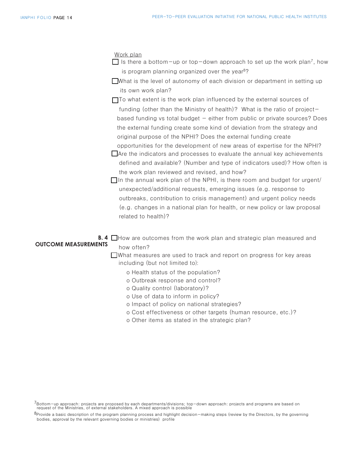Work plan

 $\Box$  Is there a bottom-up or top-down approach to set up the work plan<sup>7</sup>, how is program planning organized over the year<sup>8</sup>?

 its own work plan? What is the level of autonomy of each division or department in setting up

 $\Box$  To what extent is the work plan influenced by the external sources of funding (other than the Ministry of health)? What is the ratio of project based funding vs total budget - either from public or private sources? Does the external funding create some kind of deviation from the strategy and original purpose of the NPHI? Does the external funding create opportunities for the development of new areas of expertise for the NPHI?

 $\Box$  Are the indicators and processes to evaluate the annual key achievements defined and available? (Number and type of indicators used)? How often is the work plan reviewed and revised, and how?

 $\Box$ In the annual work plan of the NPHI, is there room and budget for urgent/ unexpected/additional requests, emerging issues (e.g. response to outbreaks, contribution to crisis management) and urgent policy needs (e.g. changes in a national plan for health, or new policy or law proposal related to health)?

**B. 4**  $\Box$  How are outcomes from the work plan and strategic plan measured and how often? **OUTCOME MEASUREMENTS**

> $\Box$ What measures are used to track and report on progress for key areas including (but not limited to):

- o Health status of the population?
- o Outbreak response and control?
- o Quality control (laboratory)?
- o Use of data to inform in policy?
- o Impact of policy on national strategies?
- o Cost effectiveness or other targets (human resource, etc.)?
- o Other items as stated in the strategic plan?

<sup>7</sup>Bottom-up approach: projects are proposed by each departments/divisions; top-down approach: projects and programs are based on request of the Ministries, of external stakeholders. A mixed approach is possible

<sup>8</sup>Provide a basic description of the program planning process and highlight decision-making steps (review by the Directors, by the governing bodies, approval by the relevant governing bodies or ministries) profile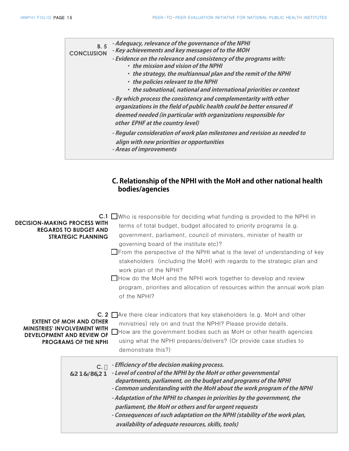| <b>B.5</b><br><b>CONCLUSION</b> | - Adequacy, relevance of the governance of the NPHI<br>- Key achievements and key messages of to the MOH<br>- Evidence on the relevance and consistency of the programs with:<br>• the mission and vision of the NPHI<br>• the strategy, the multiannual plan and the remit of the NPHI                                                                                                                                                       |
|---------------------------------|-----------------------------------------------------------------------------------------------------------------------------------------------------------------------------------------------------------------------------------------------------------------------------------------------------------------------------------------------------------------------------------------------------------------------------------------------|
|                                 | • the policies relevant to the NPHI<br>• the subnational, national and international priorities or context<br>- By which process the consistency and complementarity with other<br>organizations in the field of public health could be better ensured if<br>deemed needed (in particular with organizations responsible for<br>other EPHF at the country level)<br>- Regular consideration of work plan milestones and revision as needed to |
|                                 | align with new priorities or opportunities<br>- Areas of improvements                                                                                                                                                                                                                                                                                                                                                                         |

| <b>DECISION-MAKING PROCESS WITH</b><br><b>REGARDS TO BUDGET AND</b><br><b>STRATEGIC PLANNING</b>                                         | <b>C.1</b> $\Box$ Who is responsible for deciding what funding is provided to the NPHI in<br>terms of total budget, budget allocated to priority programs (e.g.<br>government, parliament, council of ministers, minister of health or<br>governing board of the institute etc)?<br>$\Box$ From the perspective of the NPHI what is the level of understanding of key<br>stakeholders (including the MoH) with regards to the strategic plan and<br>work plan of the NPHI?<br>$\Box$ How do the MoH and the NPHI work together to develop and review<br>program, priorities and allocation of resources within the annual work plan<br>of the NPHI? |
|------------------------------------------------------------------------------------------------------------------------------------------|-----------------------------------------------------------------------------------------------------------------------------------------------------------------------------------------------------------------------------------------------------------------------------------------------------------------------------------------------------------------------------------------------------------------------------------------------------------------------------------------------------------------------------------------------------------------------------------------------------------------------------------------------------|
| <b>EXTENT OF MOH AND OTHER</b><br><b>MINISTRIES' INVOLVEMENT WITH</b><br><b>DEVELOPMENT AND REVIEW OF</b><br><b>PROGRAMS OF THE NPHI</b> | <b>C. 2</b> $\Box$ Are there clear indicators that key stakeholders (e.g. MoH and other<br>ministries) rely on and trust the NPHI? Please provide details.<br>$\Box$ How are the government bodies such as MoH or other health agencies<br>using what the NPHI prepares/delivers? (Or provide case studies to<br>demonstrate this?)                                                                                                                                                                                                                                                                                                                 |
| $C^{-1}$                                                                                                                                 | - Efficiency of the decision making process.<br>7 C B 7 @ G C B - Level of control of the NPHI by the MoH or other governmental<br>departments, parliament, on the budget and programs of the NPHI<br>- Common understanding with the MoH about the work program of the NPHI<br>- Adaptation of the NPHI to changes in priorities by the government, the<br>parliament, the MoH or others and for urgent requests<br>- Consequences of such adaptation on the NPHI (stability of the work plan,<br>availability of adequate resources, skills, tools)                                                                                               |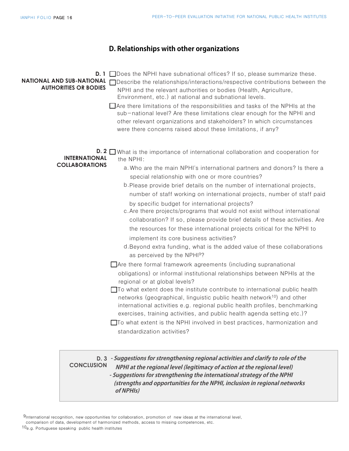#### **D. Relationships with other organizations**

| <b>NATIONAL AND SUB-NATIONAL</b><br><b>AUTHORITIES OR BODIES</b> | <b>D. 1</b> $\Box$ Does the NPHI have subnational offices? If so, please summarize these.<br>□Describe the relationships/interactions/respective contributions between the<br>NPHI and the relevant authorities or bodies (Health, Agriculture,<br>Environment, etc.) at national and subnational levels.<br>$\Box$ Are there limitations of the responsibilities and tasks of the NPHIs at the<br>sub-national level? Are these limitations clear enough for the NPHI and<br>other relevant organizations and stakeholders? In which circumstances<br>were there concerns raised about these limitations, if any?                                                                                                                                                                                                                                                                                                                                                                                                                                                                                                                                                                                                                                                                                                                                                                                                                                                                                   |
|------------------------------------------------------------------|------------------------------------------------------------------------------------------------------------------------------------------------------------------------------------------------------------------------------------------------------------------------------------------------------------------------------------------------------------------------------------------------------------------------------------------------------------------------------------------------------------------------------------------------------------------------------------------------------------------------------------------------------------------------------------------------------------------------------------------------------------------------------------------------------------------------------------------------------------------------------------------------------------------------------------------------------------------------------------------------------------------------------------------------------------------------------------------------------------------------------------------------------------------------------------------------------------------------------------------------------------------------------------------------------------------------------------------------------------------------------------------------------------------------------------------------------------------------------------------------------|
| <b>INTERNATIONAL</b><br><b>COLLABORATIONS</b>                    | <b>D. 2</b> $\Box$ What is the importance of international collaboration and cooperation for<br>the NPHI:<br>a. Who are the main NPHI's international partners and donors? Is there a<br>special relationship with one or more countries?<br>b. Please provide brief details on the number of international projects,<br>number of staff working on international projects, number of staff paid<br>by specific budget for international projects?<br>c. Are there projects/programs that would not exist without international<br>collaboration? If so, please provide brief details of these activities. Are<br>the resources for these international projects critical for the NPHI to<br>implement its core business activities?<br>d. Beyond extra funding, what is the added value of these collaborations<br>as perceived by the NPHI <sup>9</sup> ?<br>$\Box$ Are there formal framework agreements (including supranational<br>obligations) or informal institutional relationships between NPHIs at the<br>regional or at global levels?<br>$\Box$ To what extent does the institute contribute to international public health<br>networks (geographical, linguistic public health network <sup>10</sup> ) and other<br>international activities e.g. regional public health profiles, benchmarking<br>exercises, training activities, and public health agenda setting etc.)?<br>□To what extent is the NPHI involved in best practices, harmonization and<br>standardization activities? |
| <b>CONCLUSION</b>                                                | D. 3 - Suggestions for strengthening regional activities and clarify to role of the<br>NPHI at the regional level (legitimacy of action at the regional level)<br>- Suggestions for strengthening the international strategy of the NPHI<br>(strengths and opportunities for the NPHI, inclusion in regional networks                                                                                                                                                                                                                                                                                                                                                                                                                                                                                                                                                                                                                                                                                                                                                                                                                                                                                                                                                                                                                                                                                                                                                                                |

 **of NPHIs)**

9International recognition, new opportunities for collaboration, promotion of new ideas at the international level,

comparison of data, development of harmonized methods, access to missing competences, etc.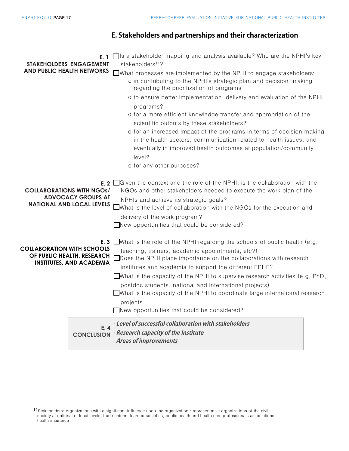#### **E. Stakeholders and partnerships and their characterization**

<sup>11</sup>Stakeholders: organizations with a significant influence upon the organization : representative organizations of the civil society at national or local levels, trade unions, learned societies, public health and health care professionals associations, health insurance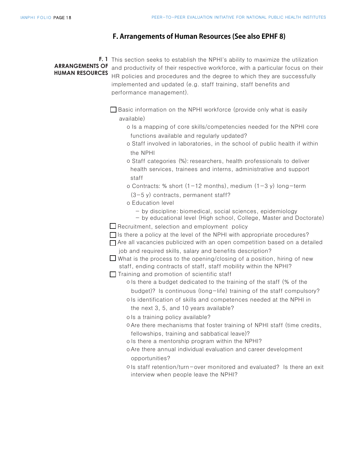#### **F. Arrangements of Human Resources (See also EPHF 8)**

|  | <b>F.</b> 1 This section seeks to establish the NPHI's ability to maximize the utilization              |
|--|---------------------------------------------------------------------------------------------------------|
|  | <b>ARRANGEMENTS OF</b> and productivity of their respective workforce, with a particular focus on their |
|  | <b>HUMAN RESOURCES</b> HR policies and procedures and the degree to which they are successfully         |
|  | implemented and updated (e.g. staff training, staff benefits and                                        |
|  | performance management).                                                                                |

 $\Box$  Basic information on the NPHI workforce (provide only what is easily available)

- o Is a mapping of core skills/competencies needed for the NPHI core functions available and regularly updated?
- o Staff involved in laboratories, in the school of public health if within the NPHI
- o Staff categories (%): researchers, health professionals to deliver health services, trainees and interns, administrative and support staff
- o Contracts: % short  $(1-12 \text{ months})$ , medium  $(1-3 \text{ y})$  long-term
- $(3-5 y)$  contracts, permanent staff?
- o Education level
	- by discipline: biomedical, social sciences, epidemiology
	- by educational level (High school, College, Master and Doctorate)

 $\Box$  Recruitment, selection and employment policy

 $\Box$  Is there a policy at the level of the NPHI with appropriate procedures?

 $\Box$  Are all vacancies publicized with an open competition based on a detailed job and required skills, salary and benefits description?

 $\Box$  What is the process to the opening/closing of a position, hiring of new staff, ending contracts of staff, staff mobility within the NPHI?

- $\Box$  Training and promotion of scientific staff
	- o Is there a budget dedicated to the training of the staff (% of the
	- budget)? Is continuous (long-life) training of the staff compulsory?
	- oIs identification of skills and competences needed at the NPHI in the next 3, 5, and 10 years available?
	- o Is a training policy available?
	- oAre there mechanisms that foster training of NPHI staff (time credits, fellowships, training and sabbatical leave)?
	- o Is there a mentorship program within the NPHI?
	- oAre there annual individual evaluation and career development opportunities?
	- ols staff retention/turn-over monitored and evaluated? Is there an exit interview when people leave the NPHI?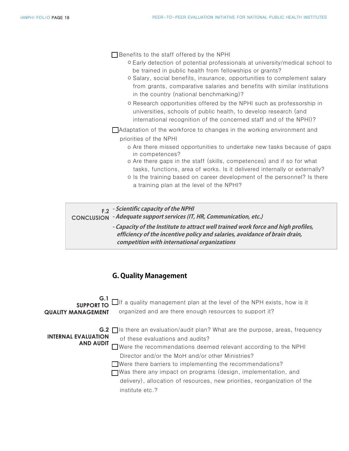$\Box$  Benefits to the staff offered by the NPHI

- o Early detection of potential professionals at university/medical school to be trained in public health from fellowships or grants?
- o Salary, social benefits, insurance, opportunities to complement salary from grants, comparative salaries and benefits with similar institutions in the country (national benchmarking)?
- o Research opportunities offered by the NPHI such as professorship in universities, schools of public health, to develop research (and international recognition of the concerned staff and of the NPHI)?

 $\Box$ Adaptation of the workforce to changes in the working environment and priorities of the NPHI

- o Are there missed opportunities to undertake new tasks because of gaps in competences?
- o Are there gaps in the staff (skills, competences) and if so for what tasks, functions, area of works. Is it delivered internally or externally?
- o Is the training based on career development of the personnel? Is there a training plan at the level of the NPHI?

**- Scientific capacity of the NPHI F.2**

**- Adequate support services (IT, HR, Communication, etc.) CONCLUSION**

**- Capacity of the Institute to attract well trained work force and high profiles, efficiency of the incentive policy and salaries, avoidance of brain drain, competition with international organizations**

#### **G. Quality Management**

 $\Box$ If a quality management plan at the level of the NPH exists, how is it organized and are there enough resources to support it? G.2  $\Box$  Is there an evaluation/audit plan? What are the purpose, areas, frequency of these evaluations and audits? **AND AUDIT** Were the recommendations deemed relevant according to the NPHI Director and/or the MoH and/or other Ministries?  $\Box$  Were there barriers to implementing the recommendations?  $\Box$  Was there any impact on programs (design, implementation, and delivery), allocation of resources, new priorities, reorganization of the institute etc.? **G.1 SUPPORT TO QUALITY MANAGEMENT INTERNAL EVALUATION**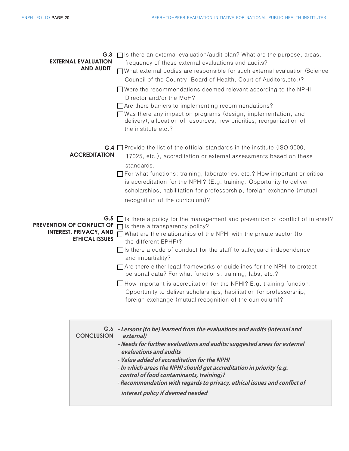| G.3<br><b>EXTERNAL EVALUATION</b><br><b>AND AUDIT</b>                               | $\Box$ Is there an external evaluation/audit plan? What are the purpose, areas,<br>frequency of these external evaluations and audits?<br>■ What external bodies are responsible for such external evaluation (Science<br>Council of the Country, Board of Health, Court of Auditors, etc.)?<br>$\Box$ Were the recommendations deemed relevant according to the NPHI<br>Director and/or the MoH?<br>$\Box$ Are there barriers to implementing recommendations?<br>$\Box$ Was there any impact on programs (design, implementation, and<br>delivery), allocation of resources, new priorities, reorganization of<br>the institute etc.?                                                                    |
|-------------------------------------------------------------------------------------|------------------------------------------------------------------------------------------------------------------------------------------------------------------------------------------------------------------------------------------------------------------------------------------------------------------------------------------------------------------------------------------------------------------------------------------------------------------------------------------------------------------------------------------------------------------------------------------------------------------------------------------------------------------------------------------------------------|
| <b>ACCREDITATION</b>                                                                | <b>G.4</b> Provide the list of the official standards in the institute (ISO 9000,<br>17025, etc.), accreditation or external assessments based on these<br>standards.<br>□ For what functions: training, laboratories, etc.? How important or critical<br>is accreditation for the NPHI? (E.g. training: Opportunity to deliver<br>scholarships, habilitation for professorship, foreign exchange (mutual<br>recognition of the curriculum)?                                                                                                                                                                                                                                                               |
| PREVENTION OF CONFLICT OF<br><b>INTEREST, PRIVACY, AND</b><br><b>ETHICAL ISSUES</b> | G.5 $\Box$ is there a policy for the management and prevention of conflict of interest?<br>$\Box$ Is there a transparency policy?<br>$\Box$ What are the relationships of the NPHI with the private sector (for<br>the different EPHF)?<br>$\Box$ is there a code of conduct for the staff to safeguard independence<br>and impartiality?<br>$\Box$ Are there either legal frameworks or guidelines for the NPHI to protect<br>personal data? For what functions: training, labs, etc.?<br>$\Box$ How important is accreditation for the NPHI? E.g. training function:<br>Opportunity to deliver scholarships, habilitation for professorship,<br>foreign exchange (mutual recognition of the curriculum)? |
| <b>CONCLUSION</b>                                                                   | G.6 - Lessons (to be) learned from the evaluations and audits (internal and<br>external)<br>- Needs for further evaluations and audits: suggested areas for external<br>evaluations and audits<br>- Value added of accreditation for the NPHI<br>- In which areas the NPHI should get accreditation in priority (e.g.<br>control of food contaminants, training)?<br>- Recommendation with regards to privacy, ethical issues and conflict of<br>interest policy if deemed needed                                                                                                                                                                                                                          |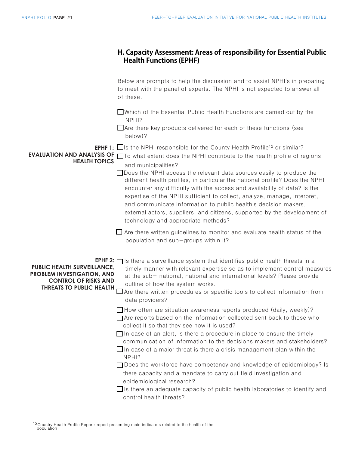|                                                                                                                                                               | H. Capacity Assessment: Areas of responsibility for Essential Public<br><b>Health Functions (EPHF)</b>                                                                                                                                                                                                                                                                                                                                                                                                                                                                                                                                                                                                                                                       |
|---------------------------------------------------------------------------------------------------------------------------------------------------------------|--------------------------------------------------------------------------------------------------------------------------------------------------------------------------------------------------------------------------------------------------------------------------------------------------------------------------------------------------------------------------------------------------------------------------------------------------------------------------------------------------------------------------------------------------------------------------------------------------------------------------------------------------------------------------------------------------------------------------------------------------------------|
|                                                                                                                                                               | Below are prompts to help the discussion and to assist NPHI's in preparing<br>to meet with the panel of experts. The NPHI is not expected to answer all<br>of these.                                                                                                                                                                                                                                                                                                                                                                                                                                                                                                                                                                                         |
|                                                                                                                                                               | □Which of the Essential Public Health Functions are carried out by the<br>NPHI?<br>$\Box$ Are there key products delivered for each of these functions (see<br>below)?                                                                                                                                                                                                                                                                                                                                                                                                                                                                                                                                                                                       |
| <b>EVALUATION AND ANALYSIS OF</b><br><b>HEALTH TOPICS</b>                                                                                                     | <b>EPHF 1:</b> $\Box$ Is the NPHI responsible for the County Health Profile <sup>12</sup> or similar?<br>□ To what extent does the NPHI contribute to the health profile of regions<br>and municipalities?<br>□ Does the NPHI access the relevant data sources easily to produce the<br>different health profiles, in particular the national profile? Does the NPHI<br>encounter any difficulty with the access and availability of data? Is the<br>expertise of the NPHI sufficient to collect, analyze, manage, interpret,<br>and communicate information to public health's decision makers,<br>external actors, suppliers, and citizens, supported by the development of<br>technology and appropriate methods?                                         |
|                                                                                                                                                               | $\Box$ Are there written guidelines to monitor and evaluate health status of the<br>population and sub-groups within it?                                                                                                                                                                                                                                                                                                                                                                                                                                                                                                                                                                                                                                     |
| EPHF 2: $\Gamma$<br><b>PUBLIC HEALTH SURVEILLANCE,</b><br><b>PROBLEM INVESTIGATION, AND</b><br><b>CONTROL OF RISKS AND</b><br><b>THREATS TO PUBLIC HEALTH</b> | Is there a surveillance system that identifies public health threats in a<br>timely manner with relevant expertise so as to implement control measures<br>at the sub- national, national and international levels? Please provide<br>outline of how the system works.<br>Are there written procedures or specific tools to collect information from<br>data providers?                                                                                                                                                                                                                                                                                                                                                                                       |
|                                                                                                                                                               | $\Box$ How often are situation awareness reports produced (daily, weekly)?<br>□ Are reports based on the information collected sent back to those who<br>collect it so that they see how it is used?<br>$\Box$ In case of an alert, is there a procedure in place to ensure the timely<br>communication of information to the decisions makers and stakeholders?<br>$\Box$ In case of a major threat is there a crisis management plan within the<br>NPHI?<br>$\Box$ Does the workforce have competency and knowledge of epidemiology? Is<br>there capacity and a mandate to carry out field investigation and<br>epidemiological research?<br>$\Box$ is there an adequate capacity of public health laboratories to identify and<br>control health threats? |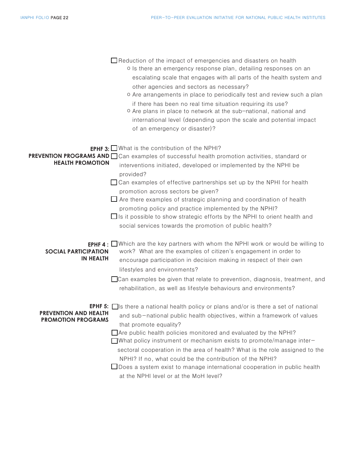|                                                           | $\Box$ Reduction of the impact of emergencies and disasters on health<br>o Is there an emergency response plan, detailing responses on an<br>escalating scale that engages with all parts of the health system and<br>other agencies and sectors as necessary?<br>o Are arrangements in place to periodically test and review such a plan<br>if there has been no real time situation requiring its use?<br>o Are plans in place to network at the sub-national, national and<br>international level (depending upon the scale and potential impact<br>of an emergency or disaster)?                                                               |
|-----------------------------------------------------------|----------------------------------------------------------------------------------------------------------------------------------------------------------------------------------------------------------------------------------------------------------------------------------------------------------------------------------------------------------------------------------------------------------------------------------------------------------------------------------------------------------------------------------------------------------------------------------------------------------------------------------------------------|
| <b>HEALTH PROMOTION</b>                                   | <b>EPHF 3:</b> $\Box$ What is the contribution of the NPHI?<br>PREVENTION PROGRAMS AND Can examples of successful health promotion activities, standard or<br>interventions initiated, developed or implemented by the NPHI be<br>provided?<br>$\Box$ Can examples of effective partnerships set up by the NPHI for health<br>promotion across sectors be given?<br>$\Box$ Are there examples of strategic planning and coordination of health<br>promoting policy and practice implemented by the NPHI?<br>□ Is it possible to show strategic efforts by the NPHI to orient health and<br>social services towards the promotion of public health? |
| <b>SOCIAL PARTICIPATION</b><br><b>IN HEALTH</b>           | <b>EPHF 4:</b> Which are the key partners with whom the NPHI work or would be willing to<br>work? What are the examples of citizen's engagement in order to<br>encourage participation in decision making in respect of their own<br>lifestyles and environments?<br>□ Can examples be given that relate to prevention, diagnosis, treatment, and<br>rehabilitation, as well as lifestyle behaviours and environments?                                                                                                                                                                                                                             |
| <b>PREVENTION AND HEALTH</b><br><b>PROMOTION PROGRAMS</b> | <b>EPHF 5:</b> $\Box$ Is there a national health policy or plans and/or is there a set of national<br>and sub-national public health objectives, within a framework of values<br>that promote equality?<br>$\Box$ Are public health policies monitored and evaluated by the NPHI?<br>$\Box$ What policy instrument or mechanism exists to promote/manage inter-<br>sectoral cooperation in the area of health? What is the role assigned to the<br>NPHI? If no, what could be the contribution of the NPHI?<br>$\Box$ Does a system exist to manage international cooperation in public health<br>at the NPHI level or at the MoH level?           |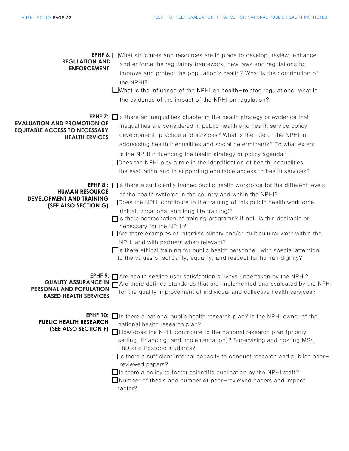| <b>REGULATION AND</b><br><b>ENFORCEMENT</b>                                                         | <b>EPHF 6:</b> What structures and resources are in place to develop, review, enhance<br>and enforce the regulatory framework, new laws and regulations to<br>improve and protect the population's health? What is the contribution of<br>the NPHI?<br>$\Box$ What is the influence of the NPHI on health-related regulations; what is<br>the evidence of the impact of the NPHI on regulation?                                                                                                                                                                                                                                                                                                                    |
|-----------------------------------------------------------------------------------------------------|--------------------------------------------------------------------------------------------------------------------------------------------------------------------------------------------------------------------------------------------------------------------------------------------------------------------------------------------------------------------------------------------------------------------------------------------------------------------------------------------------------------------------------------------------------------------------------------------------------------------------------------------------------------------------------------------------------------------|
| <b>EVALUATION AND PROMOTION OF</b><br><b>EQUITABLE ACCESS TO NECESSARY</b><br><b>HEALTH ERVICES</b> | <b>EPHF 7:</b> $\Box$ is there an inequalities chapter in the health strategy or evidence that<br>inequalities are considered in public health and health service policy<br>development, practice and services? What is the role of the NPHI in<br>addressing health inequalities and social determinants? To what extent<br>is the NPHI influencing the health strategy or policy agenda?<br>$\Box$ Does the NPHI play a role in the identification of health inequalities,<br>the evaluation and in supporting equitable access to health services?                                                                                                                                                              |
| <b>HUMAN RESOURCE</b><br><b>DEVELOPMENT AND TRAINING</b><br>(SEE ALSO SECTION G)                    | <b>EPHF 8:</b> $\Box$ is there a sufficiently trained public health workforce for the different levels<br>of the health systems in the country and within the NPHI?<br>□ Does the NPHI contribute to the training of this public health workforce<br>(initial, vocational and long life training)?<br>$\Box$ Is there accreditation of training programs? If not, is this desirable or<br>necessary for the NPHI?<br>$\Box$ Are there examples of interdisciplinary and/or multicultural work within the<br>NPHI and with partners when relevant?<br>$\Box$ is there ethical training for public health personnel, with special attention<br>to the values of solidarity, equality, and respect for human dignity? |
| <b>PERSONAL AND POPULATION</b><br><b>BASED HEALTH SERVICES</b>                                      | <b>EPHF 9:</b> $\Box$ Are health service user satisfaction surveys undertaken by the NPHI?<br>QUALITY ASSURANCE IN Mare there defined standards that are implemented and evaluated by the NPHI<br>for the quality improvement of individual and collective health services?                                                                                                                                                                                                                                                                                                                                                                                                                                        |
| <b>EPHF 10:</b><br><b>PUBLIC HEALTH RESEARCH</b><br>(SEE ALSO SECTION F)                            | $\Box$ is there a national public health research plan? Is the NPHI owner of the<br>national health research plan?<br>$\Box$ How does the NPHI contribute to the national research plan (priority<br>setting, financing, and implementation)? Supervising and hosting MSc,<br>PhD and Postdoc students?<br>$\Box$ is there a sufficient internal capacity to conduct research and publish peer-<br>reviewed papers?<br>$\Box$ is there a policy to foster scientific publication by the NPHI staff?<br>$\Box$ Number of thesis and number of peer-reviewed papers and impact<br>factor?                                                                                                                            |